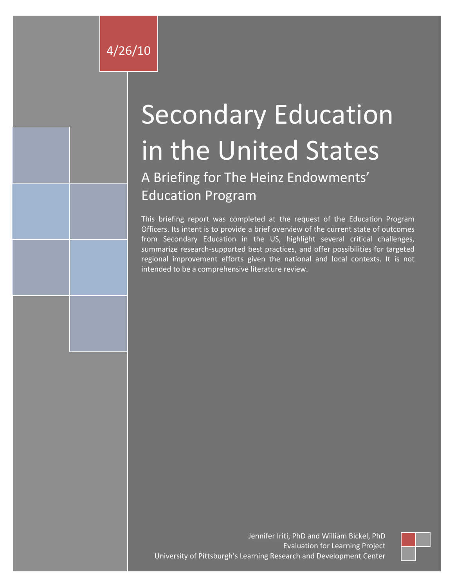# Secondary Education in the United States

A Briefing for The Heinz Endowments' Education Program

This briefing report was completed at the request of the Education Program Officers. Its intent is to provide a brief overview of the current state of outcomes from Secondary Education in the US, highlight several critical challenges, summarize research-supported best practices, and offer possibilities for targeted regional improvement efforts given the national and local contexts. It is not intended to be a comprehensive literature review.

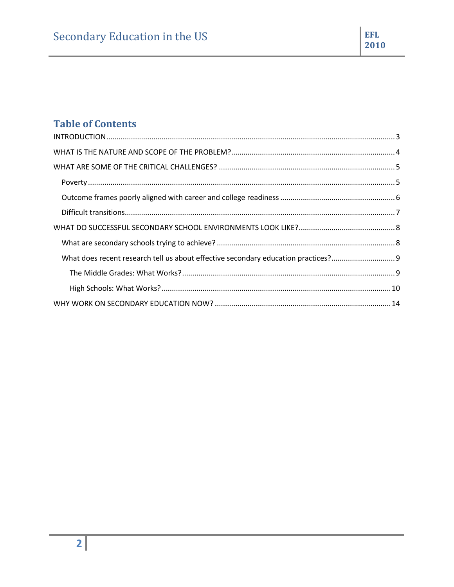# **Table of Contents**

| What does recent research tell us about effective secondary education practices?9 |  |
|-----------------------------------------------------------------------------------|--|
|                                                                                   |  |
|                                                                                   |  |
|                                                                                   |  |

EFL

2010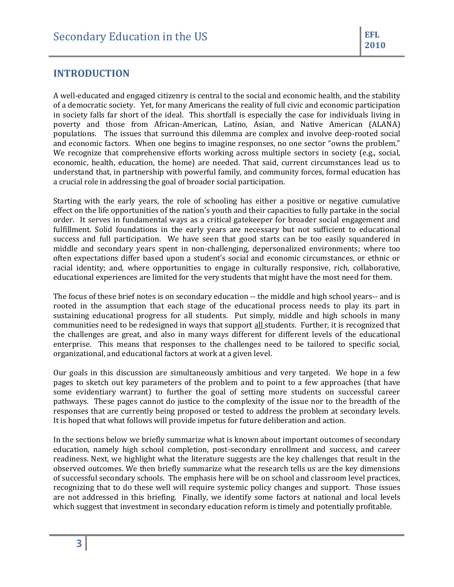# <span id="page-2-0"></span>**INTRODUCTION**

A well-educated and engaged citizenry is central to the social and economic health, and the stability of a democratic society. Yet, for many Americans the reality of full civic and economic participation in society falls far short of the ideal. This shortfall is especially the case for individuals living in poverty and those from African-American, Latino, Asian, and Native American (ALANA) populations. The issues that surround this dilemma are complex and involve deep-rooted social and economic factors. When one begins to imagine responses, no one sector "owns the problem." We recognize that comprehensive efforts working across multiple sectors in society (e.g., social, economic, health, education, the home) are needed. That said, current circumstances lead us to understand that, in partnership with powerful family, and community forces, formal education has a crucial role in addressing the goal of broader social participation.

Starting with the early years, the role of schooling has either a positive or negative cumulative effect on the life opportunities of the nation's youth and their capacities to fully partake in the social order. It serves in fundamental ways as a critical gatekeeper for broader social engagement and fulfillment. Solid foundations in the early years are necessary but not sufficient to educational success and full participation. We have seen that good starts can be too easily squandered in middle and secondary years spent in non-challenging, depersonalized environments; where too often expectations differ based upon a student's social and economic circumstances, or ethnic or racial identity; and, where opportunities to engage in culturally responsive, rich, collaborative, educational experiences are limited for the very students that might have the most need for them.

The focus of these brief notes is on secondary education -- the middle and high school years-- and is rooted in the assumption that each stage of the educational process needs to play its part in sustaining educational progress for all students. Put simply, middle and high schools in many communities need to be redesigned in ways that support all students. Further, it is recognized that the challenges are great, and also in many ways different for different levels of the educational enterprise. This means that responses to the challenges need to be tailored to specific social, organizational, and educational factors at work at a given level.

Our goals in this discussion are simultaneously ambitious and very targeted. We hope in a few pages to sketch out key parameters of the problem and to point to a few approaches (that have some evidentiary warrant) to further the goal of setting more students on successful career pathways. These pages cannot do justice to the complexity of the issue nor to the breadth of the responses that are currently being proposed or tested to address the problem at secondary levels. It is hoped that what follows will provide impetus for future deliberation and action.

In the sections below we briefly summarize what is known about important outcomes of secondary education, namely high school completion, post-secondary enrollment and success, and career readiness. Next, we highlight what the literature suggests are the key challenges that result in the observed outcomes. We then briefly summarize what the research tells us are the key dimensions of successful secondary schools. The emphasis here will be on school and classroom level practices, recognizing that to do these well will require systemic policy changes and support. Those issues are not addressed in this briefing. Finally, we identify some factors at national and local levels which suggest that investment in secondary education reform is timely and potentially profitable.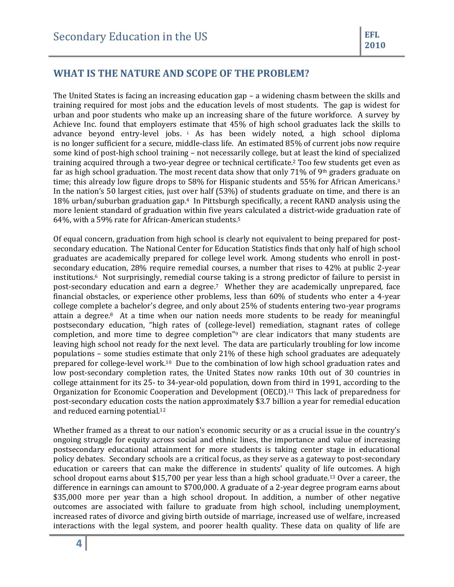# <span id="page-3-0"></span>**WHAT IS THE NATURE AND SCOPE OF THE PROBLEM?**

The United States is facing an increasing education gap – a widening chasm between the skills and training required for most jobs and the education levels of most students. The gap is widest for urban and poor students who make up an increasing share of the future workforce. A survey by Achieve Inc. found that employers estimate that 45% of high school graduates lack the skills to advance beyond entry-level jobs. <sup>i</sup> As has been widely noted, a high school diploma is no longer sufficient for a secure, middle-class life. An estimated 85% of current jobs now require some kind of post-high school training – not necessarily college, but at least the kind of specialized training acquired through a two-year degree or technical certificate.<sup>2</sup> Too few students get even as far as high school graduation. The most recent data show that only 71% of 9<sup>th</sup> graders graduate on time; this already low figure drops to 58% for Hispanic students and 55% for African Americans.<sup>3</sup> In the nation's 50 largest cities, just over half (53%) of students graduate on time, and there is an 18% urban/suburban graduation gap.4 In Pittsburgh specifically, a recent RAND analysis using the more lenient standard of graduation within five years calculated a district-wide graduation rate of 64%, with a 59% rate for African-American students.<sup>5</sup>

Of equal concern, graduation from high school is clearly not equivalent to being prepared for postsecondary education. The National Center for Education Statistics finds that only half of high school graduates are academically prepared for college level work. Among students who enroll in postsecondary education, 28% require remedial courses, a number that rises to 42% at public 2-year institutions.6 Not surprisingly, remedial course taking is a strong predictor of failure to persist in post-secondary education and earn a degree.7 Whether they are academically unprepared, face financial obstacles, or experience other problems, less than 60% of students who enter a 4-year college complete a bachelor's degree, and only about 25% of students entering two-year programs attain a degree.8 At a time when our nation needs more students to be ready for meaningful postsecondary education, "high rates of (college-level) remediation, stagnant rates of college completion, and more time to degree completion"<sup>9</sup> are clear indicators that many students are leaving high school not ready for the next level. The data are particularly troubling for low income populations – some studies estimate that only 21% of these high school graduates are adequately prepared for college-level work.10 Due to the combination of low high school graduation rates and low post-secondary completion rates, the United States now ranks 10th out of 30 countries in college attainment for its 25- to 34-year-old population, down from third in 1991, according to the Organization for Economic Cooperation and Development (OECD). <sup>11</sup> This lack of preparedness for post-secondary education costs the nation approximately \$3.7 billion a year for remedial education and reduced earning potential.<sup>12</sup>

Whether framed as a threat to our nation's economic security or as a crucial issue in the country's ongoing struggle for equity across social and ethnic lines, the importance and value of increasing postsecondary educational attainment for more students is taking center stage in educational policy debates. Secondary schools are a critical focus, as they serve as a gateway to post-secondary education or careers that can make the difference in students' quality of life outcomes. A high school dropout earns about \$15,700 per year less than a high school graduate.<sup>13</sup> Over a career, the difference in earnings can amount to \$700,000. A graduate of a 2-year degree program earns about \$35,000 more per year than a high school dropout. In addition, a number of other negative outcomes are associated with failure to graduate from high school, including unemployment, increased rates of divorce and giving birth outside of marriage, increased use of welfare, increased interactions with the legal system, and poorer health quality. These data on quality of life are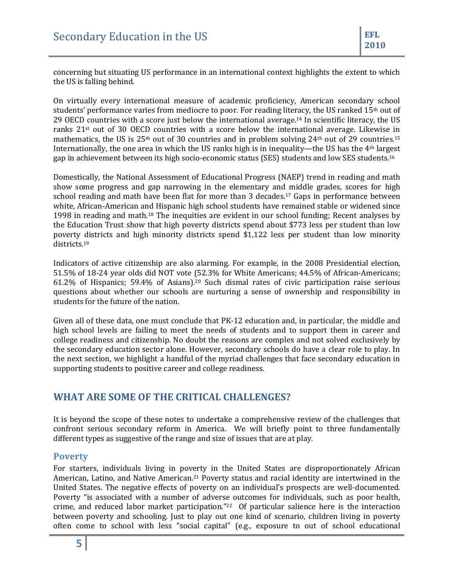concerning but situating US performance in an international context highlights the extent to which the US is falling behind.

On virtually every international measure of academic proficiency, American secondary school students' performance varies from mediocre to poor. For reading literacy, the US ranked 15<sup>th</sup> out of 29 OECD countries with a score just below the international average.<sup>14</sup> In scientific literacy, the US ranks  $21<sup>st</sup>$  out of 30 OECD countries with a score below the international average. Likewise in mathematics, the US is  $25<sup>th</sup>$  out of 30 countries and in problem solving  $24<sup>th</sup>$  out of 29 countries.<sup>15</sup> Internationally, the one area in which the US ranks high is in inequality—the US has the  $4<sup>th</sup>$  largest gap in achievement between its high socio-economic status (SES) students and low SES students.<sup>16</sup>

Domestically, the National Assessment of Educational Progress (NAEP) trend in reading and math show some progress and gap narrowing in the elementary and middle grades, scores for high school reading and math have been flat for more than 3 decades.<sup>17</sup> Gaps in performance between white, African-American and Hispanic high school students have remained stable or widened since 1998 in reading and math.<sup>18</sup> The inequities are evident in our school funding; Recent analyses by the Education Trust show that high poverty districts spend about \$773 less per student than low poverty districts and high minority districts spend \$1,122 less per student than low minority districts.<sup>19</sup>

Indicators of active citizenship are also alarming. For example, in the 2008 Presidential election, 51.5% of 18-24 year olds did NOT vote (52.3% for White Americans; 44.5% of African-Americans; 61.2% of Hispanics; 59.4% of Asians). <sup>20</sup> Such dismal rates of civic participation raise serious questions about whether our schools are nurturing a sense of ownership and responsibility in students for the future of the nation.

Given all of these data, one must conclude that PK-12 education and, in particular, the middle and high school levels are failing to meet the needs of students and to support them in career and college readiness and citizenship. No doubt the reasons are complex and not solved exclusively by the secondary education sector alone. However, secondary schools do have a clear role to play. In the next section, we highlight a handful of the myriad challenges that face secondary education in supporting students to positive career and college readiness.

## <span id="page-4-0"></span>**WHAT ARE SOME OF THE CRITICAL CHALLENGES?**

It is beyond the scope of these notes to undertake a comprehensive review of the challenges that confront serious secondary reform in America. We will briefly point to three fundamentally different types as suggestive of the range and size of issues that are at play.

#### <span id="page-4-1"></span>**Poverty**

For starters, individuals living in poverty in the United States are disproportionately African American, Latino, and Native American.<sup>21</sup> Poverty status and racial identity are intertwined in the United States. The negative effects of poverty on an individual's prospects are well-documented. Poverty "is associated with a number of adverse outcomes for individuals, such as poor health, crime, and reduced labor market participation." <sup>22</sup> Of particular salience here is the interaction between poverty and schooling. Just to play out one kind of scenario, children living in poverty often come to school with less "social capital" (e.g., exposure to out of school educational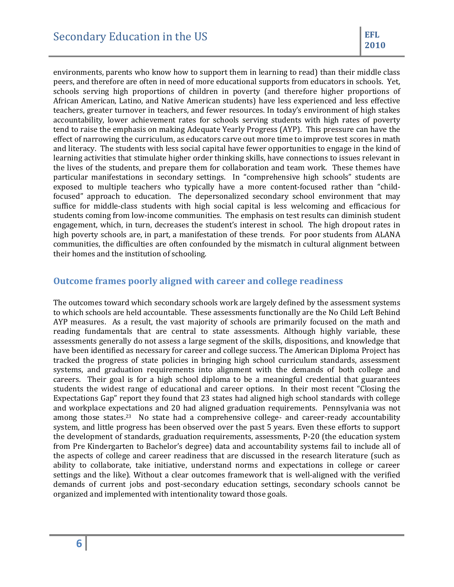environments, parents who know how to support them in learning to read) than their middle class peers, and therefore are often in need of more educational supports from educators in schools. Yet, schools serving high proportions of children in poverty (and therefore higher proportions of African American, Latino, and Native American students) have less experienced and less effective teachers, greater turnover in teachers, and fewer resources. In today's environment of high stakes accountability, lower achievement rates for schools serving students with high rates of poverty tend to raise the emphasis on making Adequate Yearly Progress (AYP). This pressure can have the effect of narrowing the curriculum, as educators carve out more time to improve test scores in math and literacy. The students with less social capital have fewer opportunities to engage in the kind of learning activities that stimulate higher order thinking skills, have connections to issues relevant in the lives of the students, and prepare them for collaboration and team work. These themes have particular manifestations in secondary settings. In "comprehensive high schools" students are exposed to multiple teachers who typically have a more content-focused rather than "childfocused" approach to education. The depersonalized secondary school environment that may suffice for middle-class students with high social capital is less welcoming and efficacious for students coming from low-income communities. The emphasis on test results can diminish student engagement, which, in turn, decreases the student's interest in school. The high dropout rates in high poverty schools are, in part, a manifestation of these trends. For poor students from ALANA communities, the difficulties are often confounded by the mismatch in cultural alignment between their homes and the institution of schooling.

## <span id="page-5-0"></span>**Outcome frames poorly aligned with career and college readiness**

<span id="page-5-1"></span>The outcomes toward which secondary schools work are largely defined by the assessment systems to which schools are held accountable. These assessments functionally are the No Child Left Behind AYP measures. As a result, the vast majority of schools are primarily focused on the math and reading fundamentals that are central to state assessments. Although highly variable, these assessments generally do not assess a large segment of the skills, dispositions, and knowledge that have been identified as necessary for career and college success. The American Diploma Project has tracked the progress of state policies in bringing high school curriculum standards, assessment systems, and graduation requirements into alignment with the demands of both college and careers. Their goal is for a high school diploma to be a meaningful credential that guarantees students the widest range of educational and career options. In their most recent "Closing the Expectations Gap" report they found that 23 states had aligned high school standards with college and workplace expectations and 20 had aligned graduation requirements. Pennsylvania was not among those states.<sup>23</sup> No state had a comprehensive college- and career-ready accountability system, and little progress has been observed over the past 5 years. Even these efforts to support the development of standards, graduation requirements, assessments, P-20 (the education system from Pre Kindergarten to Bachelor's degree) data and accountability systems fail to include all of the aspects of college and career readiness that are discussed in the research literature (such as ability to collaborate, take initiative, understand norms and expectations in college or career settings and the like). Without a clear outcomes framework that is well-aligned with the verified demands of current jobs and post-secondary education settings, secondary schools cannot be organized and implemented with intentionality toward those goals.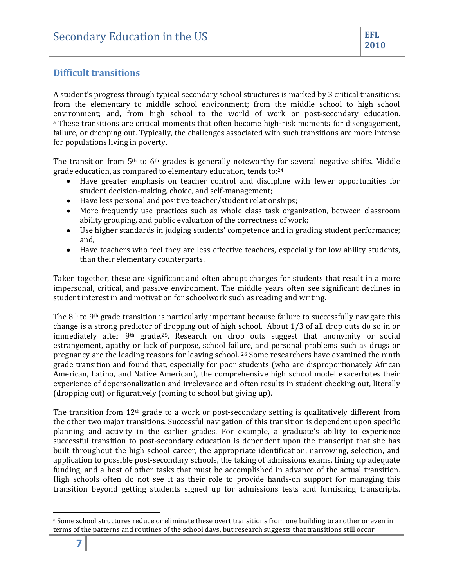## **Difficult transitions**

A student's progress through typical secondary school structures is marked by 3 critical transitions: from the elementary to middle school environment; from the middle school to high school environment; and, from high school to the world of work or post-secondary education. <sup>a</sup> These transitions are critical moments that often become high-risk moments for disengagement, failure, or dropping out. Typically, the challenges associated with such transitions are more intense for populations living in poverty.

The transition from  $5<sup>th</sup>$  to  $6<sup>th</sup>$  grades is generally noteworthy for several negative shifts. Middle grade education, as compared to elementary education, tends to: 24

- Have greater emphasis on teacher control and discipline with fewer opportunities for student decision-making, choice, and self-management;
- Have less personal and positive teacher/student relationships;
- More frequently use practices such as whole class task organization, between classroom ability grouping, and public evaluation of the correctness of work;
- Use higher standards in judging students' competence and in grading student performance; and,
- Have teachers who feel they are less effective teachers, especially for low ability students, than their elementary counterparts.

Taken together, these are significant and often abrupt changes for students that result in a more impersonal, critical, and passive environment. The middle years often see significant declines in student interest in and motivation for schoolwork such as reading and writing.

The  $8<sup>th</sup>$  to  $9<sup>th</sup>$  grade transition is particularly important because failure to successfully navigate this change is a strong predictor of dropping out of high school. About 1/3 of all drop outs do so in or immediately after 9th grade.25. Research on drop outs suggest that anonymity or social estrangement, apathy or lack of purpose, school failure, and personal problems such as drugs or pregnancy are the leading reasons for leaving school. <sup>26</sup> Some researchers have examined the ninth grade transition and found that, especially for poor students (who are disproportionately African American, Latino, and Native American), the comprehensive high school model exacerbates their experience of depersonalization and irrelevance and often results in student checking out, literally (dropping out) or figuratively (coming to school but giving up).

The transition from 12th grade to a work or post-secondary setting is qualitatively different from the other two major transitions. Successful navigation of this transition is dependent upon specific planning and activity in the earlier grades. For example, a graduate's ability to experience successful transition to post-secondary education is dependent upon the transcript that she has built throughout the high school career, the appropriate identification, narrowing, selection, and application to possible post-secondary schools, the taking of admissions exams, lining up adequate funding, and a host of other tasks that must be accomplished in advance of the actual transition. High schools often do not see it as their role to provide hands-on support for managing this transition beyond getting students signed up for admissions tests and furnishing transcripts.

 $\overline{\phantom{a}}$ 

<sup>&</sup>lt;sup>a</sup> Some school structures reduce or eliminate these overt transitions from one building to another or even in terms of the patterns and routines of the school days, but research suggests that transitions still occur.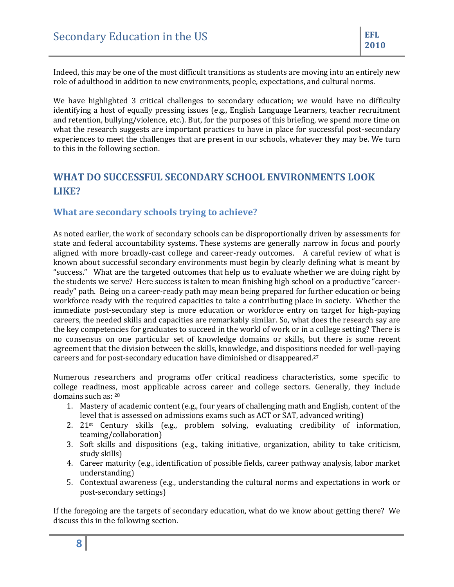Indeed, this may be one of the most difficult transitions as students are moving into an entirely new role of adulthood in addition to new environments, people, expectations, and cultural norms.

We have highlighted 3 critical challenges to secondary education; we would have no difficulty identifying a host of equally pressing issues (e.g., English Language Learners, teacher recruitment and retention, bullying/violence, etc.). But, for the purposes of this briefing, we spend more time on what the research suggests are important practices to have in place for successful post-secondary experiences to meet the challenges that are present in our schools, whatever they may be. We turn to this in the following section.

# <span id="page-7-0"></span>**WHAT DO SUCCESSFUL SECONDARY SCHOOL ENVIRONMENTS LOOK LIKE?**

# <span id="page-7-1"></span>**What are secondary schools trying to achieve?**

As noted earlier, the work of secondary schools can be disproportionally driven by assessments for state and federal accountability systems. These systems are generally narrow in focus and poorly aligned with more broadly-cast college and career-ready outcomes. A careful review of what is known about successful secondary environments must begin by clearly defining what is meant by "success." What are the targeted outcomes that help us to evaluate whether we are doing right by the students we serve? Here success is taken to mean finishing high school on a productive "careerready" path. Being on a career-ready path may mean being prepared for further education or being workforce ready with the required capacities to take a contributing place in society. Whether the immediate post-secondary step is more education or workforce entry on target for high-paying careers, the needed skills and capacities are remarkably similar. So, what does the research say are the key competencies for graduates to succeed in the world of work or in a college setting? There is no consensus on one particular set of knowledge domains or skills, but there is some recent agreement that the division between the skills, knowledge, and dispositions needed for well-paying careers and for post-secondary education have diminished or disappeared.<sup>27</sup>

Numerous researchers and programs offer critical readiness characteristics, some specific to college readiness, most applicable across career and college sectors. Generally, they include domains such as: <sup>28</sup>

- 1. Mastery of academic content (e.g., four years of challenging math and English, content of the level that is assessed on admissions exams such as ACT or SAT, advanced writing)
- 2.  $21^{st}$  Century skills (e.g., problem solving, evaluating credibility of information, teaming/collaboration)
- 3. Soft skills and dispositions (e.g., taking initiative, organization, ability to take criticism, study skills)
- 4. Career maturity (e.g., identification of possible fields, career pathway analysis, labor market understanding)
- 5. Contextual awareness (e.g., understanding the cultural norms and expectations in work or post-secondary settings)

If the foregoing are the targets of secondary education, what do we know about getting there? We discuss this in the following section.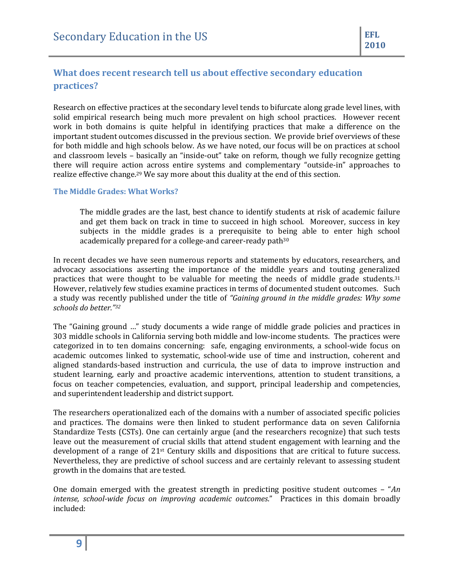# <span id="page-8-0"></span>**What does recent research tell us about effective secondary education practices?**

Research on effective practices at the secondary level tends to bifurcate along grade level lines, with solid empirical research being much more prevalent on high school practices. However recent work in both domains is quite helpful in identifying practices that make a difference on the important student outcomes discussed in the previous section. We provide brief overviews of these for both middle and high schools below. As we have noted, our focus will be on practices at school and classroom levels – basically an "inside-out" take on reform, though we fully recognize getting there will require action across entire systems and complementary "outside-in" approaches to realize effective change.<sup>29</sup> We say more about this duality at the end of this section.

#### <span id="page-8-1"></span>**The Middle Grades: What Works?**

The middle grades are the last, best chance to identify students at risk of academic failure and get them back on track in time to succeed in high school. Moreover, success in key subjects in the middle grades is a prerequisite to being able to enter high school academically prepared for a college-and career-ready path<sup>30</sup>

In recent decades we have seen numerous reports and statements by educators, researchers, and advocacy associations asserting the importance of the middle years and touting generalized practices that were thought to be valuable for meeting the needs of middle grade students.<sup>31</sup> However, relatively few studies examine practices in terms of documented student outcomes. Such a study was recently published under the title of *"Gaining ground in the middle grades: Why some schools do better." 32*

The "Gaining ground …" study documents a wide range of middle grade policies and practices in 303 middle schools in California serving both middle and low-income students. The practices were categorized in to ten domains concerning: safe, engaging environments, a school-wide focus on academic outcomes linked to systematic, school-wide use of time and instruction, coherent and aligned standards-based instruction and curricula, the use of data to improve instruction and student learning, early and proactive academic interventions, attention to student transitions, a focus on teacher competencies, evaluation, and support, principal leadership and competencies, and superintendent leadership and district support.

The researchers operationalized each of the domains with a number of associated specific policies and practices. The domains were then linked to student performance data on seven California Standardize Tests (CSTs). One can certainly argue (and the researchers recognize) that such tests leave out the measurement of crucial skills that attend student engagement with learning and the development of a range of 21st Century skills and dispositions that are critical to future success. Nevertheless, they are predictive of school success and are certainly relevant to assessing student growth in the domains that are tested.

One domain emerged with the greatest strength in predicting positive student outcomes – "*An intense, school-wide focus on improving academic outcomes*." Practices in this domain broadly included: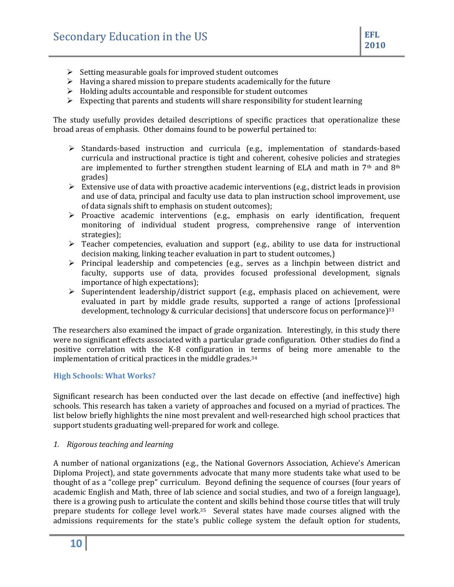- $\triangleright$  Setting measurable goals for improved student outcomes
- $\triangleright$  Having a shared mission to prepare students academically for the future
- $\triangleright$  Holding adults accountable and responsible for student outcomes
- $\triangleright$  Expecting that parents and students will share responsibility for student learning

The study usefully provides detailed descriptions of specific practices that operationalize these broad areas of emphasis. Other domains found to be powerful pertained to:

- $\triangleright$  Standards-based instruction and curricula (e.g., implementation of standards-based curricula and instructional practice is tight and coherent, cohesive policies and strategies are implemented to further strengthen student learning of ELA and math in  $7<sup>th</sup>$  and  $8<sup>th</sup>$ grades)
- $\triangleright$  Extensive use of data with proactive academic interventions (e.g., district leads in provision and use of data, principal and faculty use data to plan instruction school improvement, use of data signals shift to emphasis on student outcomes);
- $\triangleright$  Proactive academic interventions (e.g., emphasis on early identification, frequent monitoring of individual student progress, comprehensive range of intervention strategies);
- $\triangleright$  Teacher competencies, evaluation and support (e.g., ability to use data for instructional decision making, linking teacher evaluation in part to student outcomes,)
- $\triangleright$  Principal leadership and competencies (e.g., serves as a linchpin between district and faculty, supports use of data, provides focused professional development, signals importance of high expectations);
- Superintendent leadership/district support (e.g., emphasis placed on achievement, were evaluated in part by middle grade results, supported a range of actions [professional development, technology & curricular decisions] that underscore focus on performance)<sup>33</sup>

The researchers also examined the impact of grade organization. Interestingly, in this study there were no significant effects associated with a particular grade configuration. Other studies do find a positive correlation with the K-8 configuration in terms of being more amenable to the implementation of critical practices in the middle grades. 34

#### <span id="page-9-0"></span>**High Schools: What Works?**

Significant research has been conducted over the last decade on effective (and ineffective) high schools. This research has taken a variety of approaches and focused on a myriad of practices. The list below briefly highlights the nine most prevalent and well-researched high school practices that support students graduating well-prepared for work and college.

#### *1. Rigorous teaching and learning*

A number of national organizations (e.g., the National Governors Association, Achieve's American Diploma Project), and state governments advocate that many more students take what used to be thought of as a "college prep" curriculum. Beyond defining the sequence of courses (four years of academic English and Math, three of lab science and social studies, and two of a foreign language), there is a growing push to articulate the content and skills behind those course titles that will truly prepare students for college level work.35 Several states have made courses aligned with the admissions requirements for the state's public college system the default option for students,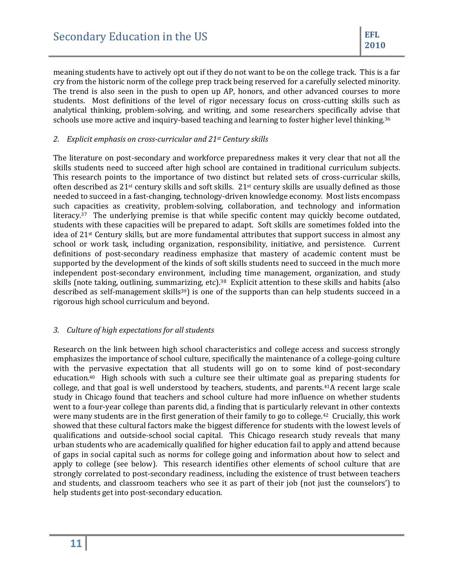meaning students have to actively opt out if they do not want to be on the college track. This is a far cry from the historic norm of the college prep track being reserved for a carefully selected minority. The trend is also seen in the push to open up AP, honors, and other advanced courses to more students. Most definitions of the level of rigor necessary focus on cross-cutting skills such as analytical thinking, problem-solving, and writing, and some researchers specifically advise that schools use more active and inquiry-based teaching and learning to foster higher level thinking.<sup>36</sup>

#### *2. Explicit emphasis on cross-curricular and 21st Century skills*

The literature on post-secondary and workforce preparedness makes it very clear that not all the skills students need to succeed after high school are contained in traditional curriculum subjects. This research points to the importance of two distinct but related sets of cross-curricular skills, often described as  $21$ <sup>st</sup> century skills and soft skills.  $21$ <sup>st</sup> century skills are usually defined as those needed to succeed in a fast-changing, technology-driven knowledge economy. Most lists encompass such capacities as creativity, problem-solving, collaboration, and technology and information literacy.37 The underlying premise is that while specific content may quickly become outdated, students with these capacities will be prepared to adapt. Soft skills are sometimes folded into the idea of 21st Century skills, but are more fundamental attributes that support success in almost any school or work task, including organization, responsibility, initiative, and persistence. Current definitions of post-secondary readiness emphasize that mastery of academic content must be supported by the development of the kinds of soft skills students need to succeed in the much more independent post-secondary environment, including time management, organization, and study skills (note taking, outlining, summarizing, etc).38 Explicit attention to these skills and habits (also described as self-management skills<sup>39</sup>) is one of the supports than can help students succeed in a rigorous high school curriculum and beyond.

#### *3. Culture of high expectations for all students*

Research on the link between high school characteristics and college access and success strongly emphasizes the importance of school culture, specifically the maintenance of a college-going culture with the pervasive expectation that all students will go on to some kind of post-secondary education.40 High schools with such a culture see their ultimate goal as preparing students for college, and that goal is well understood by teachers, students, and parents.41A recent large scale study in Chicago found that teachers and school culture had more influence on whether students went to a four-year college than parents did, a finding that is particularly relevant in other contexts were many students are in the first generation of their family to go to college.42 Crucially, this work showed that these cultural factors make the biggest difference for students with the lowest levels of qualifications and outside-school social capital. This Chicago research study reveals that many urban students who are academically qualified for higher education fail to apply and attend because of gaps in social capital such as norms for college going and information about how to select and apply to college (see below). This research identifies other elements of school culture that are strongly correlated to post-secondary readiness, including the existence of trust between teachers and students, and classroom teachers who see it as part of their job (not just the counselors') to help students get into post-secondary education.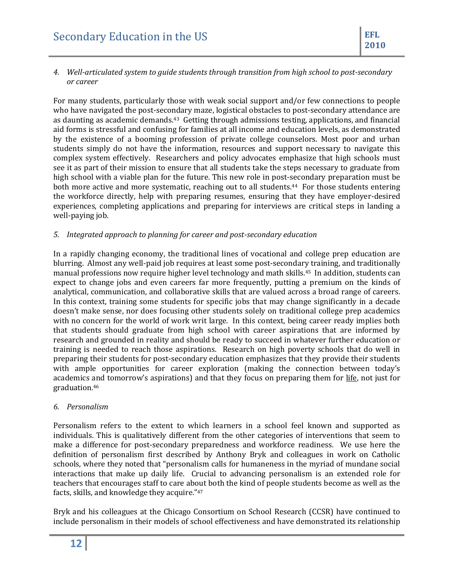#### *4. Well-articulated system to guide students through transition from high school to post-secondary or career*

For many students, particularly those with weak social support and/or few connections to people who have navigated the post-secondary maze, logistical obstacles to post-secondary attendance are as daunting as academic demands.43 Getting through admissions testing, applications, and financial aid forms is stressful and confusing for families at all income and education levels, as demonstrated by the existence of a booming profession of private college counselors. Most poor and urban students simply do not have the information, resources and support necessary to navigate this complex system effectively. Researchers and policy advocates emphasize that high schools must see it as part of their mission to ensure that all students take the steps necessary to graduate from high school with a viable plan for the future. This new role in post-secondary preparation must be both more active and more systematic, reaching out to all students.<sup>44</sup> For those students entering the workforce directly, help with preparing resumes, ensuring that they have employer-desired experiences, completing applications and preparing for interviews are critical steps in landing a well-paying job.

### *5. Integrated approach to planning for career and post-secondary education*

In a rapidly changing economy, the traditional lines of vocational and college prep education are blurring. Almost any well-paid job requires at least some post-secondary training, and traditionally manual professions now require higher level technology and math skills.45 In addition, students can expect to change jobs and even careers far more frequently, putting a premium on the kinds of analytical, communication, and collaborative skills that are valued across a broad range of careers. In this context, training some students for specific jobs that may change significantly in a decade doesn't make sense, nor does focusing other students solely on traditional college prep academics with no concern for the world of work writ large. In this context, being career ready implies both that students should graduate from high school with career aspirations that are informed by research and grounded in reality and should be ready to succeed in whatever further education or training is needed to reach those aspirations. Research on high poverty schools that do well in preparing their students for post-secondary education emphasizes that they provide their students with ample opportunities for career exploration (making the connection between today's academics and tomorrow's aspirations) and that they focus on preparing them for life, not just for graduation.<sup>46</sup>

#### *6. Personalism*

Personalism refers to the extent to which learners in a school feel known and supported as individuals. This is qualitatively different from the other categories of interventions that seem to make a difference for post-secondary preparedness and workforce readiness. We use here the definition of personalism first described by Anthony Bryk and colleagues in work on Catholic schools, where they noted that "personalism calls for humaneness in the myriad of mundane social interactions that make up daily life. Crucial to advancing personalism is an extended role for teachers that encourages staff to care about both the kind of people students become as well as the facts, skills, and knowledge they acquire."<sup>47</sup>

Bryk and his colleagues at the Chicago Consortium on School Research (CCSR) have continued to include personalism in their models of school effectiveness and have demonstrated its relationship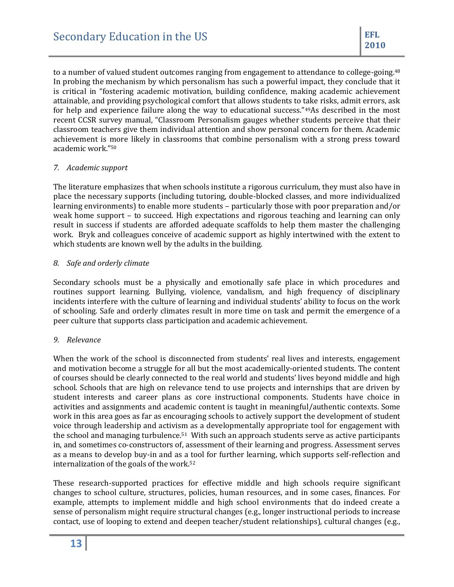to a number of valued student outcomes ranging from engagement to attendance to college-going.<sup>48</sup> In probing the mechanism by which personalism has such a powerful impact, they conclude that it is critical in "fostering academic motivation, building confidence, making academic achievement attainable, and providing psychological comfort that allows students to take risks, admit errors, ask for help and experience failure along the way to educational success."49As described in the most recent CCSR survey manual, "Classroom Personalism gauges whether students perceive that their classroom teachers give them individual attention and show personal concern for them. Academic achievement is more likely in classrooms that combine personalism with a strong press toward academic work."<sup>50</sup>

#### *7. Academic support*

The literature emphasizes that when schools institute a rigorous curriculum, they must also have in place the necessary supports (including tutoring, double-blocked classes, and more individualized learning environments) to enable more students – particularly those with poor preparation and/or weak home support – to succeed. High expectations and rigorous teaching and learning can only result in success if students are afforded adequate scaffolds to help them master the challenging work. Bryk and colleagues conceive of academic support as highly intertwined with the extent to which students are known well by the adults in the building.

#### *8. Safe and orderly climate*

Secondary schools must be a physically and emotionally safe place in which procedures and routines support learning. Bullying, violence, vandalism, and high frequency of disciplinary incidents interfere with the culture of learning and individual students' ability to focus on the work of schooling. Safe and orderly climates result in more time on task and permit the emergence of a peer culture that supports class participation and academic achievement.

#### *9. Relevance*

When the work of the school is disconnected from students' real lives and interests, engagement and motivation become a struggle for all but the most academically-oriented students. The content of courses should be clearly connected to the real world and students' lives beyond middle and high school. Schools that are high on relevance tend to use projects and internships that are driven by student interests and career plans as core instructional components. Students have choice in activities and assignments and academic content is taught in meaningful/authentic contexts. Some work in this area goes as far as encouraging schools to actively support the development of student voice through leadership and activism as a developmentally appropriate tool for engagement with the school and managing turbulence.51 With such an approach students serve as active participants in, and sometimes co-constructors of, assessment of their learning and progress. Assessment serves as a means to develop buy-in and as a tool for further learning, which supports self-reflection and internalization of the goals of the work.<sup>52</sup>

These research-supported practices for effective middle and high schools require significant changes to school culture, structures, policies, human resources, and in some cases, finances. For example, attempts to implement middle and high school environments that do indeed create a sense of personalism might require structural changes (e.g., longer instructional periods to increase contact, use of looping to extend and deepen teacher/student relationships), cultural changes (e.g.,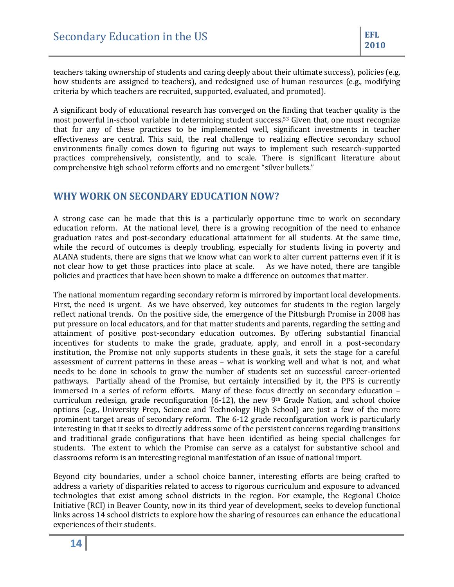teachers taking ownership of students and caring deeply about their ultimate success), policies (e.g, how students are assigned to teachers), and redesigned use of human resources (e.g., modifying criteria by which teachers are recruited, supported, evaluated, and promoted).

A significant body of educational research has converged on the finding that teacher quality is the most powerful in-school variable in determining student success.<sup>53</sup> Given that, one must recognize that for any of these practices to be implemented well, significant investments in teacher effectiveness are central. This said, the real challenge to realizing effective secondary school environments finally comes down to figuring out ways to implement such research-supported practices comprehensively, consistently, and to scale. There is significant literature about comprehensive high school reform efforts and no emergent "silver bullets."

# <span id="page-13-0"></span>**WHY WORK ON SECONDARY EDUCATION NOW?**

A strong case can be made that this is a particularly opportune time to work on secondary education reform. At the national level, there is a growing recognition of the need to enhance graduation rates and post-secondary educational attainment for all students. At the same time, while the record of outcomes is deeply troubling, especially for students living in poverty and ALANA students, there are signs that we know what can work to alter current patterns even if it is not clear how to get those practices into place at scale. As we have noted, there are tangible policies and practices that have been shown to make a difference on outcomes that matter.

The national momentum regarding secondary reform is mirrored by important local developments. First, the need is urgent. As we have observed, key outcomes for students in the region largely reflect national trends. On the positive side, the emergence of the Pittsburgh Promise in 2008 has put pressure on local educators, and for that matter students and parents, regarding the setting and attainment of positive post-secondary education outcomes. By offering substantial financial incentives for students to make the grade, graduate, apply, and enroll in a post-secondary institution, the Promise not only supports students in these goals, it sets the stage for a careful assessment of current patterns in these areas – what is working well and what is not, and what needs to be done in schools to grow the number of students set on successful career-oriented pathways. Partially ahead of the Promise, but certainly intensified by it, the PPS is currently immersed in a series of reform efforts. Many of these focus directly on secondary education – curriculum redesign, grade reconfiguration  $(6-12)$ , the new 9<sup>th</sup> Grade Nation, and school choice options (e.g., University Prep, Science and Technology High School) are just a few of the more prominent target areas of secondary reform. The 6-12 grade reconfiguration work is particularly interesting in that it seeks to directly address some of the persistent concerns regarding transitions and traditional grade configurations that have been identified as being special challenges for students. The extent to which the Promise can serve as a catalyst for substantive school and classrooms reform is an interesting regional manifestation of an issue of national import.

Beyond city boundaries, under a school choice banner, interesting efforts are being crafted to address a variety of disparities related to access to rigorous curriculum and exposure to advanced technologies that exist among school districts in the region. For example, the Regional Choice Initiative (RCI) in Beaver County, now in its third year of development, seeks to develop functional links across 14 school districts to explore how the sharing of resources can enhance the educational experiences of their students.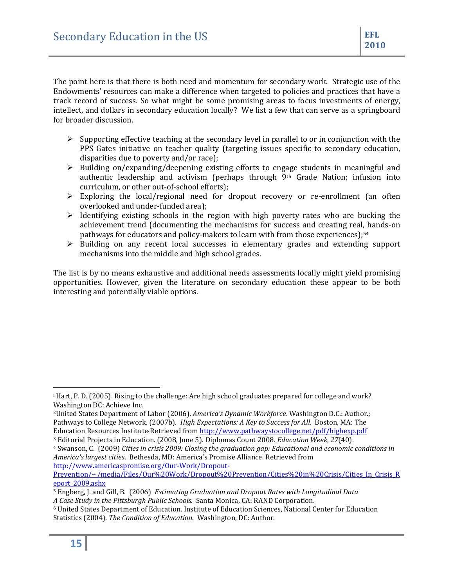The point here is that there is both need and momentum for secondary work. Strategic use of the Endowments' resources can make a difference when targeted to policies and practices that have a track record of success. So what might be some promising areas to focus investments of energy, intellect, and dollars in secondary education locally? We list a few that can serve as a springboard for broader discussion.

- $\triangleright$  Supporting effective teaching at the secondary level in parallel to or in conjunction with the PPS Gates initiative on teacher quality (targeting issues specific to secondary education, disparities due to poverty and/or race);
- $\triangleright$  Building on/expanding/deepening existing efforts to engage students in meaningful and authentic leadership and activism (perhaps through 9th Grade Nation; infusion into curriculum, or other out-of-school efforts);
- $\triangleright$  Exploring the local/regional need for dropout recovery or re-enrollment (an often overlooked and under-funded area);
- $\triangleright$  Identifying existing schools in the region with high poverty rates who are bucking the achievement trend (documenting the mechanisms for success and creating real, hands-on pathways for educators and policy-makers to learn with from those experiences); $54$
- $\triangleright$  Building on any recent local successes in elementary grades and extending support mechanisms into the middle and high school grades.

The list is by no means exhaustive and additional needs assessments locally might yield promising opportunities. However, given the literature on secondary education these appear to be both interesting and potentially viable options.

 $\overline{\phantom{a}}$ 

<sup>i</sup> Hart, P. D. (2005). Rising to the challenge: Are high school graduates prepared for college and work? Washington DC: Achieve Inc.

<sup>2</sup>United States Department of Labor (2006). *America's Dynamic Workforce*. Washington D.C.: Author.; Pathways to College Network. (2007b). *High Expectations: A Key to Success for All*. Boston, MA: The Education Resources Institute. Retrieved fro[m http://www.pathwaystocollege.net/pdf/highexp.pdf](http://www.pathwaystocollege.net/pdf/highexp.pdf)

<sup>3</sup> Editorial Projects in Education. (2008, June 5). Diplomas Count 2008. *Education Week*, *27*(40).

<sup>4</sup> Swanson, C. (2009) *Cities in crisis 2009: Closing the graduation gap: Educational and economic conditions in America's largest cities*. Bethesda, MD: America's Promise Alliance. Retrieved from

[http://www.americaspromise.org/Our-Work/Dropout-](http://www.americaspromise.org/Our-Work/Dropout-Prevention/~/media/Files/Our%20Work/Dropout%20Prevention/Cities%20in%20Crisis/Cities_In_Crisis_Report_2009.ashx)[Prevention/~/media/Files/Our%20Work/Dropout%20Prevention/Cities%20in%20Crisis/Cities\\_In\\_Crisis\\_R](http://www.americaspromise.org/Our-Work/Dropout-Prevention/~/media/Files/Our%20Work/Dropout%20Prevention/Cities%20in%20Crisis/Cities_In_Crisis_Report_2009.ashx) [eport\\_2009.ashx](http://www.americaspromise.org/Our-Work/Dropout-Prevention/~/media/Files/Our%20Work/Dropout%20Prevention/Cities%20in%20Crisis/Cities_In_Crisis_Report_2009.ashx)

<sup>5</sup> Engberg, J. and Gill, B. (2006) *Estimating Graduation and Dropout Rates with Longitudinal Data A Case Study in the Pittsburgh Public Schools*. Santa Monica, CA: RAND Corporation.

<sup>6</sup> United States Department of Education. Institute of Education Sciences, National Center for Education Statistics (2004). *The Condition of Education*. Washington, DC: Author.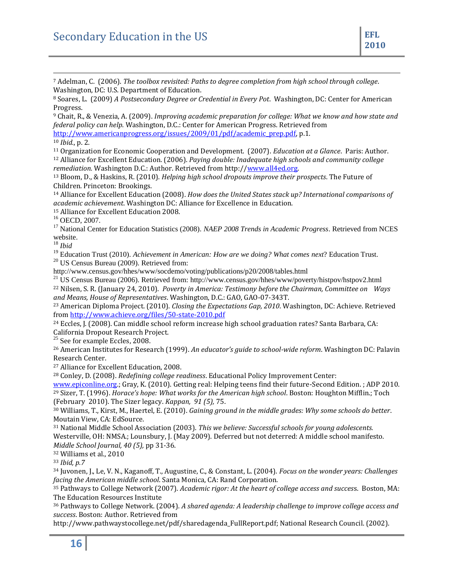<sup>7</sup> Adelman, C. (2006). *The toolbox revisited: Paths to degree completion from high school through college*. Washington, DC: U.S. Department of Education.

<sup>9</sup> Chait, R., & Venezia, A. (2009). *Improving academic preparation for college: What we know and how state and federal policy can help*. Washington, D.C.: Center for American Progress. Retrieved from

[http://www.americanprogress.org/issues/2009/01/pdf/academic\\_prep.pdf,](http://www.americanprogress.org/issues/2009/01/pdf/academic_prep.pdf) p.1.

<sup>10</sup> *Ibid.*, p. 2.

 $\overline{a}$ 

<sup>11</sup> Organization for Economic Cooperation and Development. (2007). *Education at a Glance*. Paris: Author. <sup>12</sup> Alliance for Excellent Education. (2006). *Paying double: Inadequate high schools and community college remediation.* Washington D.C.: Author. Retrieved from http:/[/www.all4ed.org.](http://www.all4ed.org/) 

<sup>13</sup> Bloom, D., & Haskins, R. (2010). *Helping high school dropouts improve their prospects*. The Future of Children. Princeton: Brookings.

<sup>14</sup> Alliance for Excellent Education (2008). *How does the United States stack up? International comparisons of academic achievement*. Washington DC: Alliance for Excellence in Education.

<sup>15</sup> Alliance for Excellent Education 2008.

<sup>16</sup> OECD, 2007.

<sup>17</sup> National Center for Education Statistics (2008). *NAEP 2008 Trends in Academic Progress*. Retrieved from NCES website.

<sup>18</sup> *Ibid*

<sup>19</sup> Education Trust (2010). *Achievement in American: How are we doing? What comes next*? Education Trust.

<sup>20</sup> US Census Bureau (2009). Retrieved from:

http://www.census.gov/hhes/www/socdemo/voting/publications/p20/2008/tables.html

<sup>21</sup> US Census Bureau (2006). Retrieved from: http://www.census.gov/hhes/www/poverty/histpov/hstpov2.html

<sup>22</sup> Nilsen, S. R. (January 24, 2010). *Poverty in America: Testimony before the Chairman, Committee on Ways and Means, House of Representatives*. Washington, D.C.: GAO, GAO-07-343T.

<sup>23</sup> American Diploma Project. (2010). *Closing the Expectations Gap, 2010*. Washington, DC: Achieve. Retrieved from<http://www.achieve.org/files/50-state-2010.pdf>

<sup>24</sup> Eccles, J. (2008). Can middle school reform increase high school graduation rates? Santa Barbara, CA: California Dropout Research Project.

 $25$  See for example Eccles, 2008.

<sup>26</sup> American Institutes for Research (1999). *An educator's guide to school-wide reform*. Washington DC: Palavin Research Center.

<sup>27</sup> Alliance for Excellent Education, 2008.

<sup>28</sup> Conley, D. (2008). *Redefining college readiness*. Educational Policy Improvement Center:

[www.epiconline.org.](http://www.epiconline.org/); Gray, K. (2010). Getting real: Helping teens find their future-Second Edition. ; ADP 2010. <sup>29</sup> Sizer, T. (1996). *Horace's hope: What works for the American high school*. Boston: Houghton Mifflin.; Toch (February 2010). The Sizer legacy. *Kappan, 91 (5),* 75.

<sup>30</sup> Williams, T., Kirst, M., Haertel, E. (2010). *Gaining ground in the middle grades: Why some schools do better*. Moutain View, CA: EdSource.

<sup>31</sup> National Middle School Association (2003). *This we believe: Successful schools for young adolescents.* Westerville, OH: NMSA.; Lounsbury, J. (May 2009). Deferred but not deterred: A middle school manifesto. *Middle School Journal, 40 (5),* pp 31-36.

<sup>32</sup> Williams et al., 2010

<sup>33</sup> *Ibid, p.7*

<sup>34</sup> Juvonen, J., Le, V. N., Kaganoff, T., Augustine, C., & Constant, L. (2004). *Focus on the wonder years: Challenges facing the American middle school*. Santa Monica, CA: Rand Corporation.

<sup>35</sup> Pathways to College Network (2007). *Academic rigor: At the heart of college access and succes*s. Boston, MA: The Education Resources Institute

<sup>36</sup> Pathways to College Network. (2004). *A shared agenda: A leadership challenge to improve college access and success*. Boston: Author. Retrieved from

http://www.pathwaystocollege.net/pdf/sharedagenda\_FullReport.pdf; National Research Council. (2002).

<sup>8</sup> Soares, L. (2009) *A Postsecondary Degree or Credential in Every Pot*. Washington, DC: Center for American Progress.